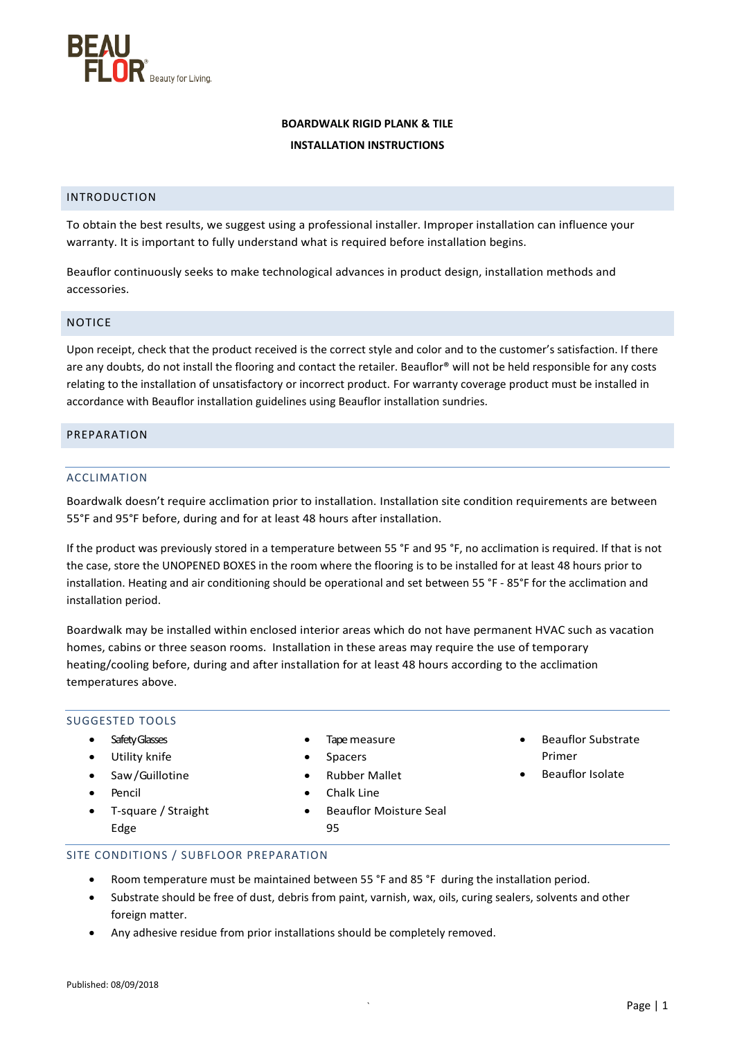

# **BOARDWALK RIGID PLANK & TILE INSTALLATION INSTRUCTIONS**

### INTRODUCTION

To obtain the best results, we suggest using a professional installer. Improper installation can influence your warranty. It is important to fully understand what is required before installation begins.

Beauflor continuously seeks to make technological advances in product design, installation methods and accessories.

### NOTICE

Upon receipt, check that the product received is the correct style and color and to the customer's satisfaction. If there are any doubts, do not install the flooring and contact the retailer. Beauflor® will not be held responsible for any costs relating to the installation of unsatisfactory or incorrect product. For warranty coverage product must be installed in accordance with Beauflor installation guidelines using Beauflor installation sundries.

#### PREPARATION

#### ACCLIMATION

Boardwalk doesn't require acclimation prior to installation. Installation site condition requirements are between 55°F and 95°F before, during and for at least 48 hours after installation.

If the product was previously stored in a temperature between 55 °F and 95 °F, no acclimation is required. If that is not the case, store the UNOPENED BOXES in the room where the flooring is to be installed for at least 48 hours prior to installation. Heating and air conditioning should be operational and set between 55 °F - 85°F for the acclimation and installation period.

Boardwalk may be installed within enclosed interior areas which do not have permanent HVAC such as vacation homes, cabins or three season rooms. Installation in these areas may require the use of temporary heating/cooling before, during and after installation for at least 48 hours according to the acclimation temperatures above.

# SUGGESTED TOOLS

- Safety Glasses
- Utility knife
- Saw/Guillotine
- Pencil
- T-square / Straight Edge
- Tape measure
- Spacers
- Rubber Mallet
- Chalk Line
- Beauflor Moisture Seal
- Beauflor Substrate Primer
- Beauflor Isolate

- SITE CONDITIONS / SUBFLOOR PREPARATION
	- Room temperature must be maintained between 55 °F and 85 °F during the installation period.

95

- Substrate should be free of dust, debris from paint, varnish, wax, oils, curing sealers, solvents and other foreign matter.
- Any adhesive residue from prior installations should be completely removed.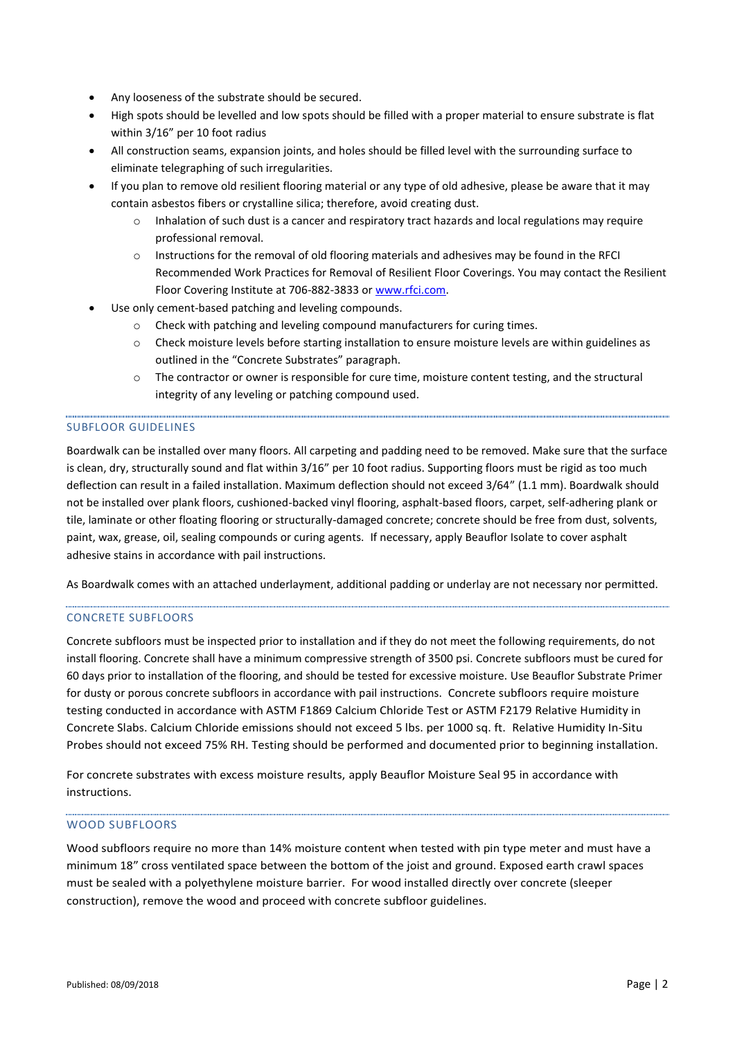- Any looseness of the substrate should be secured.
- High spots should be levelled and low spots should be filled with a proper material to ensure substrate is flat within 3/16" per 10 foot radius
- All construction seams, expansion joints, and holes should be filled level with the surrounding surface to eliminate telegraphing of such irregularities.
- If you plan to remove old resilient flooring material or any type of old adhesive, please be aware that it may contain asbestos fibers or crystalline silica; therefore, avoid creating dust.
	- $\circ$  Inhalation of such dust is a cancer and respiratory tract hazards and local regulations may require professional removal.
	- $\circ$  Instructions for the removal of old flooring materials and adhesives may be found in the RFCI Recommended Work Practices for Removal of Resilient Floor Coverings. You may contact the Resilient Floor Covering Institute at 706-882-3833 or [www.rfci.com.](http://www.rfci.com/)
- Use only cement-based patching and leveling compounds.
	- o Check with patching and leveling compound manufacturers for curing times.
	- o Check moisture levels before starting installation to ensure moisture levels are within guidelines as outlined in the "Concrete Substrates" paragraph.
	- o The contractor or owner is responsible for cure time, moisture content testing, and the structural integrity of any leveling or patching compound used.

# SUBFLOOR GUIDELINES

Boardwalk can be installed over many floors. All carpeting and padding need to be removed. Make sure that the surface is clean, dry, structurally sound and flat within 3/16" per 10 foot radius. Supporting floors must be rigid as too much deflection can result in a failed installation. Maximum deflection should not exceed 3/64" (1.1 mm). Boardwalk should not be installed over plank floors, cushioned-backed vinyl flooring, asphalt-based floors, carpet, self-adhering plank or tile, laminate or other floating flooring or structurally-damaged concrete; concrete should be free from dust, solvents, paint, wax, grease, oil, sealing compounds or curing agents. If necessary, apply Beauflor Isolate to cover asphalt adhesive stains in accordance with pail instructions.

As Boardwalk comes with an attached underlayment, additional padding or underlay are not necessary nor permitted.

# CONCRETE SUBFLOORS

Concrete subfloors must be inspected prior to installation and if they do not meet the following requirements, do not install flooring. Concrete shall have a minimum compressive strength of 3500 psi. Concrete subfloors must be cured for 60 days prior to installation of the flooring, and should be tested for excessive moisture. Use Beauflor Substrate Primer for dusty or porous concrete subfloors in accordance with pail instructions. Concrete subfloors require moisture testing conducted in accordance with ASTM F1869 Calcium Chloride Test or ASTM F2179 Relative Humidity in Concrete Slabs. Calcium Chloride emissions should not exceed 5 lbs. per 1000 sq. ft. Relative Humidity In-Situ Probes should not exceed 75% RH. Testing should be performed and documented prior to beginning installation.

For concrete substrates with excess moisture results, apply Beauflor Moisture Seal 95 in accordance with instructions.

# WOOD SUBFLOORS

Wood subfloors require no more than 14% moisture content when tested with pin type meter and must have a minimum 18" cross ventilated space between the bottom of the joist and ground. Exposed earth crawl spaces must be sealed with a polyethylene moisture barrier. For wood installed directly over concrete (sleeper construction), remove the wood and proceed with concrete subfloor guidelines.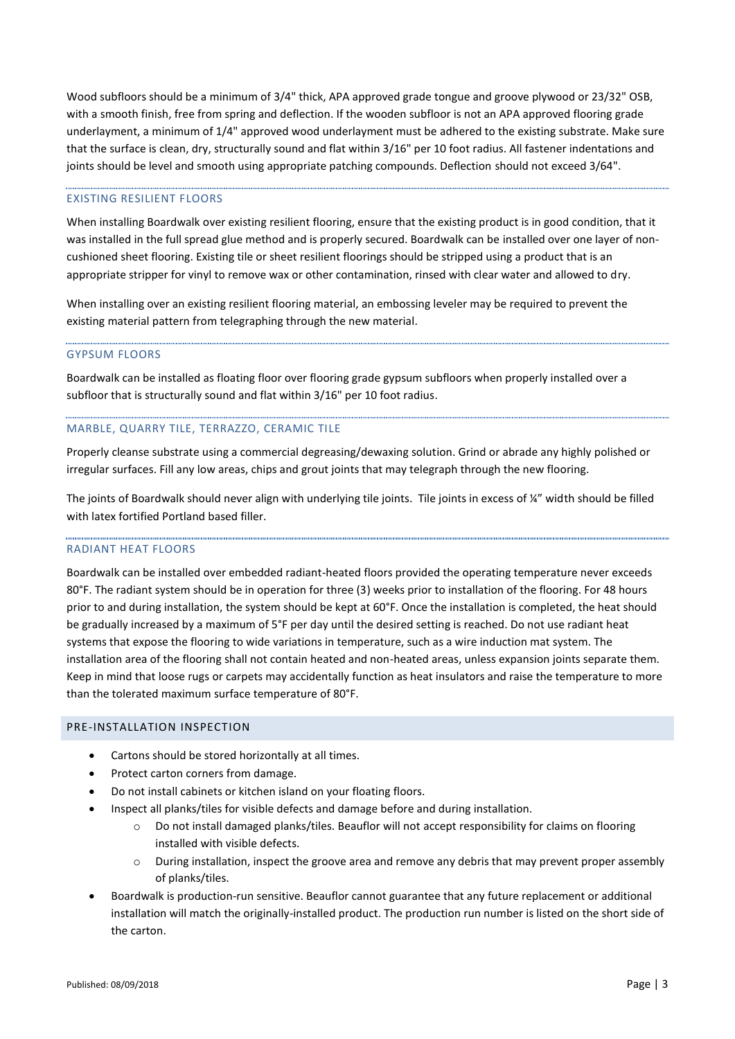Wood subfloors should be a minimum of 3/4" thick, APA approved grade tongue and groove plywood or 23/32" OSB, with a smooth finish, free from spring and deflection. If the wooden subfloor is not an APA approved flooring grade underlayment, a minimum of 1/4" approved wood underlayment must be adhered to the existing substrate. Make sure that the surface is clean, dry, structurally sound and flat within 3/16" per 10 foot radius. All fastener indentations and joints should be level and smooth using appropriate patching compounds. Deflection should not exceed 3/64".

# EXISTING RESILIENT FLOORS

When installing Boardwalk over existing resilient flooring, ensure that the existing product is in good condition, that it was installed in the full spread glue method and is properly secured. Boardwalk can be installed over one layer of noncushioned sheet flooring. Existing tile or sheet resilient floorings should be stripped using a product that is an appropriate stripper for vinyl to remove wax or other contamination, rinsed with clear water and allowed to dry.

When installing over an existing resilient flooring material, an embossing leveler may be required to prevent the existing material pattern from telegraphing through the new material.

### GYPSUM FLOORS

Boardwalk can be installed as floating floor over flooring grade gypsum subfloors when properly installed over a subfloor that is structurally sound and flat within 3/16" per 10 foot radius.

### MARBLE, QUARRY TILE, TERRAZZO, CERAMIC TILE

Properly cleanse substrate using a commercial degreasing/dewaxing solution. Grind or abrade any highly polished or irregular surfaces. Fill any low areas, chips and grout joints that may telegraph through the new flooring.

The joints of Boardwalk should never align with underlying tile joints. Tile joints in excess of ¼" width should be filled with latex fortified Portland based filler.

#### RADIANT HEAT FLOORS

Boardwalk can be installed over embedded radiant-heated floors provided the operating temperature never exceeds 80°F. The radiant system should be in operation for three (3) weeks prior to installation of the flooring. For 48 hours prior to and during installation, the system should be kept at 60°F. Once the installation is completed, the heat should be gradually increased by a maximum of 5°F per day until the desired setting is reached. Do not use radiant heat systems that expose the flooring to wide variations in temperature, such as a wire induction mat system. The installation area of the flooring shall not contain heated and non-heated areas, unless expansion joints separate them. Keep in mind that loose rugs or carpets may accidentally function as heat insulators and raise the temperature to more than the tolerated maximum surface temperature of 80°F.

#### PRE-INSTALLATION INSPECTION

- Cartons should be stored horizontally at all times.
- Protect carton corners from damage.
- Do not install cabinets or kitchen island on your floating floors.
- Inspect all planks/tiles for visible defects and damage before and during installation.
	- o Do not install damaged planks/tiles. Beauflor will not accept responsibility for claims on flooring installed with visible defects.
	- o During installation, inspect the groove area and remove any debris that may prevent proper assembly of planks/tiles.
- Boardwalk is production-run sensitive. Beauflor cannot guarantee that any future replacement or additional installation will match the originally-installed product. The production run number is listed on the short side of the carton.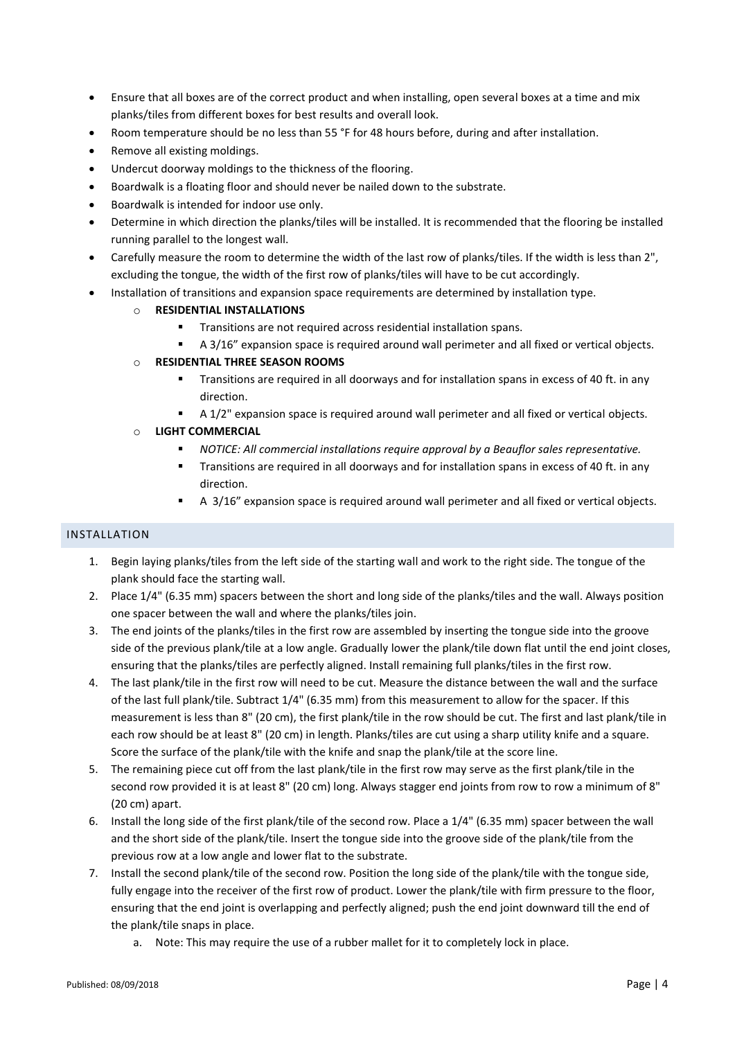- Ensure that all boxes are of the correct product and when installing, open several boxes at a time and mix planks/tiles from different boxes for best results and overall look.
- Room temperature should be no less than 55 °F for 48 hours before, during and after installation.
- Remove all existing moldings.
- Undercut doorway moldings to the thickness of the flooring.
- Boardwalk is a floating floor and should never be nailed down to the substrate.
- Boardwalk is intended for indoor use only.
- Determine in which direction the planks/tiles will be installed. It is recommended that the flooring be installed running parallel to the longest wall.
- Carefully measure the room to determine the width of the last row of planks/tiles. If the width is less than 2", excluding the tongue, the width of the first row of planks/tiles will have to be cut accordingly.
- Installation of transitions and expansion space requirements are determined by installation type.

# o **RESIDENTIAL INSTALLATIONS**

- **Transitions are not required across residential installation spans.**
- A 3/16" expansion space is required around wall perimeter and all fixed or vertical objects.

# o **RESIDENTIAL THREE SEASON ROOMS**

- Transitions are required in all doorways and for installation spans in excess of 40 ft. in any direction.
- A 1/2" expansion space is required around wall perimeter and all fixed or vertical objects.
- o **LIGHT COMMERCIAL**
	- *NOTICE: All commercial installations require approval by a Beauflor sales representative.*
	- **Transitions are required in all doorways and for installation spans in excess of 40 ft. in any** direction.
	- A 3/16" expansion space is required around wall perimeter and all fixed or vertical objects.

# INSTALLATION

- 1. Begin laying planks/tiles from the left side of the starting wall and work to the right side. The tongue of the plank should face the starting wall.
- 2. Place 1/4" (6.35 mm) spacers between the short and long side of the planks/tiles and the wall. Always position one spacer between the wall and where the planks/tiles join.
- 3. The end joints of the planks/tiles in the first row are assembled by inserting the tongue side into the groove side of the previous plank/tile at a low angle. Gradually lower the plank/tile down flat until the end joint closes, ensuring that the planks/tiles are perfectly aligned. Install remaining full planks/tiles in the first row.
- 4. The last plank/tile in the first row will need to be cut. Measure the distance between the wall and the surface of the last full plank/tile. Subtract 1/4" (6.35 mm) from this measurement to allow for the spacer. If this measurement is less than 8" (20 cm), the first plank/tile in the row should be cut. The first and last plank/tile in each row should be at least 8" (20 cm) in length. Planks/tiles are cut using a sharp utility knife and a square. Score the surface of the plank/tile with the knife and snap the plank/tile at the score line.
- 5. The remaining piece cut off from the last plank/tile in the first row may serve as the first plank/tile in the second row provided it is at least 8" (20 cm) long. Always stagger end joints from row to row a minimum of 8" (20 cm) apart.
- 6. Install the long side of the first plank/tile of the second row. Place a 1/4" (6.35 mm) spacer between the wall and the short side of the plank/tile. Insert the tongue side into the groove side of the plank/tile from the previous row at a low angle and lower flat to the substrate.
- 7. Install the second plank/tile of the second row. Position the long side of the plank/tile with the tongue side, fully engage into the receiver of the first row of product. Lower the plank/tile with firm pressure to the floor, ensuring that the end joint is overlapping and perfectly aligned; push the end joint downward till the end of the plank/tile snaps in place.
	- a. Note: This may require the use of a rubber mallet for it to completely lock in place.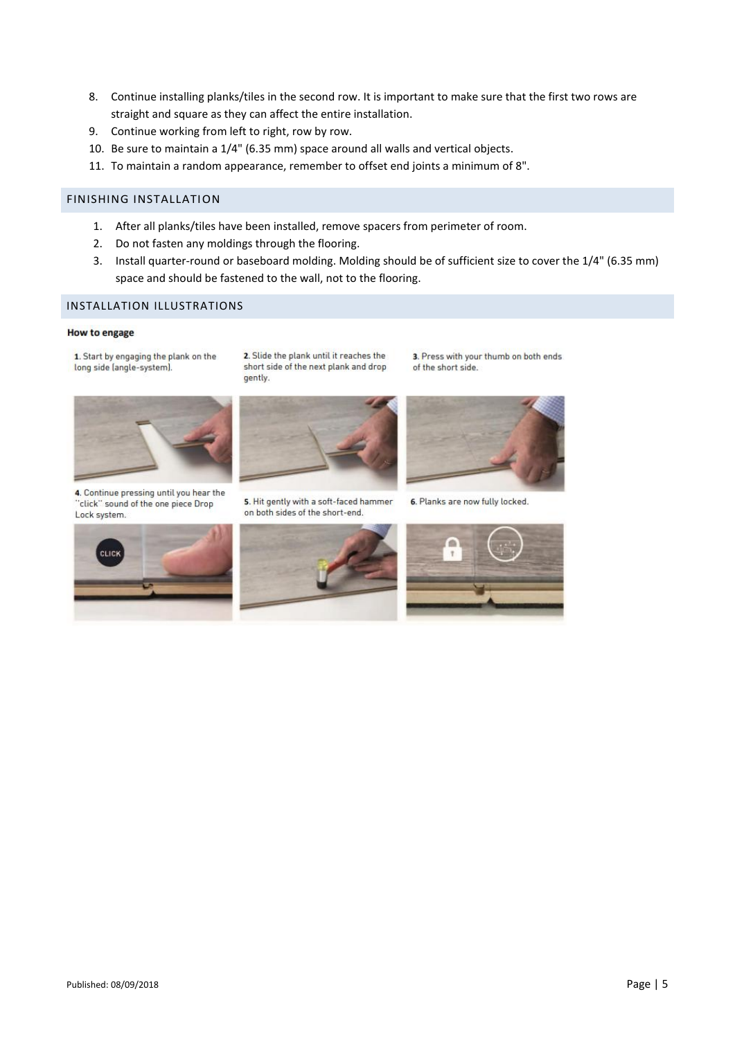- 8. Continue installing planks/tiles in the second row. It is important to make sure that the first two rows are straight and square as they can affect the entire installation.
- 9. Continue working from left to right, row by row.
- 10. Be sure to maintain a 1/4" (6.35 mm) space around all walls and vertical objects.
- 11. To maintain a random appearance, remember to offset end joints a minimum of 8".

# FINISHING INSTALLATION

- 1. After all planks/tiles have been installed, remove spacers from perimeter of room.
- 2. Do not fasten any moldings through the flooring.

gently.

3. Install quarter-round or baseboard molding. Molding should be of sufficient size to cover the 1/4" (6.35 mm) space and should be fastened to the wall, not to the flooring.

# INSTALLATION ILLUSTRATIONS

#### **How to engage**

1. Start by engaging the plank on the long side (angle-system).



4. Continue pressing until you hear the "click" sound of the one piece Drop Lock system.



2. Slide the plank until it reaches the

short side of the next plank and drop

5. Hit gently with a soft-faced hammer on both sides of the short-end.



3. Press with your thumb on both ends

of the short side.

6. Planks are now fully locked.